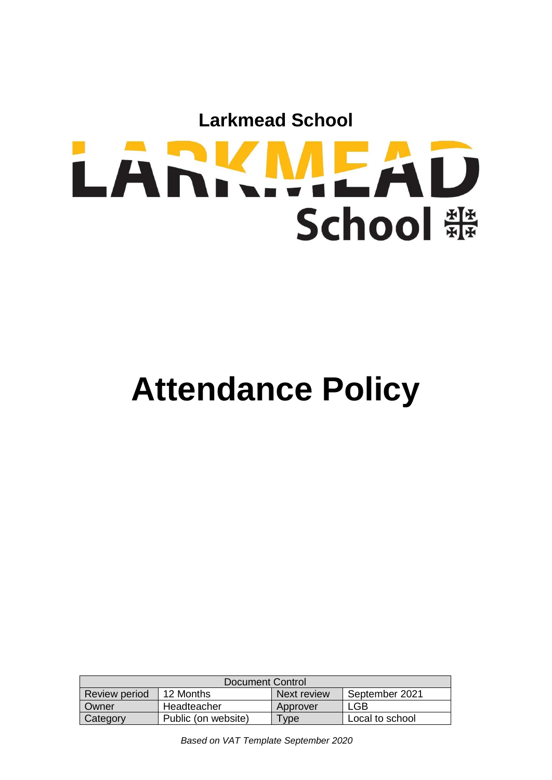

# **Attendance Policy**

| Document Control     |                     |             |                 |
|----------------------|---------------------|-------------|-----------------|
| <b>Review period</b> | 12 Months           | Next review | September 2021  |
| Owner                | Headteacher         | Approver    | '.GB            |
| Category             | Public (on website) | $T$ ype     | Local to school |

*Based on VAT Template September 2020*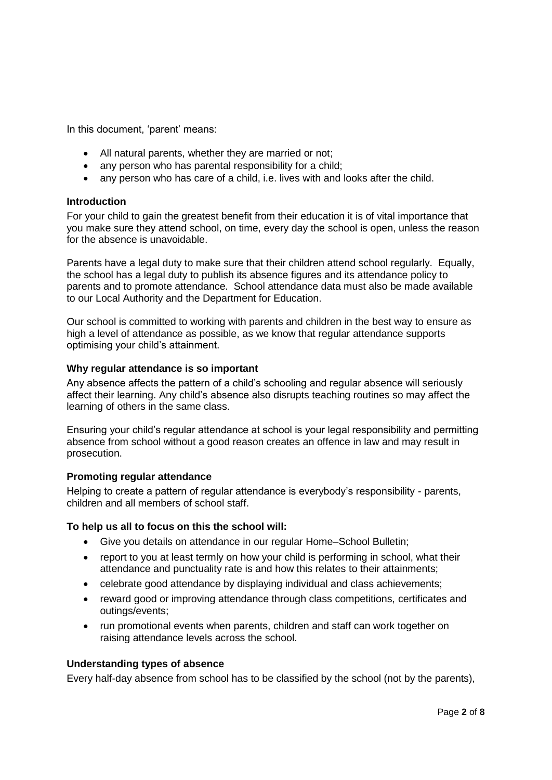In this document, 'parent' means:

- All natural parents, whether they are married or not;
- any person who has parental responsibility for a child;
- any person who has care of a child, i.e. lives with and looks after the child.

#### **Introduction**

For your child to gain the greatest benefit from their education it is of vital importance that you make sure they attend school, on time, every day the school is open, unless the reason for the absence is unavoidable.

Parents have a legal duty to make sure that their children attend school regularly. Equally, the school has a legal duty to publish its absence figures and its attendance policy to parents and to promote attendance. School attendance data must also be made available to our Local Authority and the Department for Education.

Our school is committed to working with parents and children in the best way to ensure as high a level of attendance as possible, as we know that regular attendance supports optimising your child's attainment.

## **Why regular attendance is so important**

Any absence affects the pattern of a child's schooling and regular absence will seriously affect their learning. Any child's absence also disrupts teaching routines so may affect the learning of others in the same class.

Ensuring your child's regular attendance at school is your legal responsibility and permitting absence from school without a good reason creates an offence in law and may result in prosecution.

# **Promoting regular attendance**

Helping to create a pattern of regular attendance is everybody's responsibility - parents, children and all members of school staff.

#### **To help us all to focus on this the school will:**

- Give you details on attendance in our regular Home–School Bulletin;
- report to you at least termly on how your child is performing in school, what their attendance and punctuality rate is and how this relates to their attainments;
- celebrate good attendance by displaying individual and class achievements;
- reward good or improving attendance through class competitions, certificates and outings/events;
- run promotional events when parents, children and staff can work together on raising attendance levels across the school.

#### **Understanding types of absence**

Every half-day absence from school has to be classified by the school (not by the parents),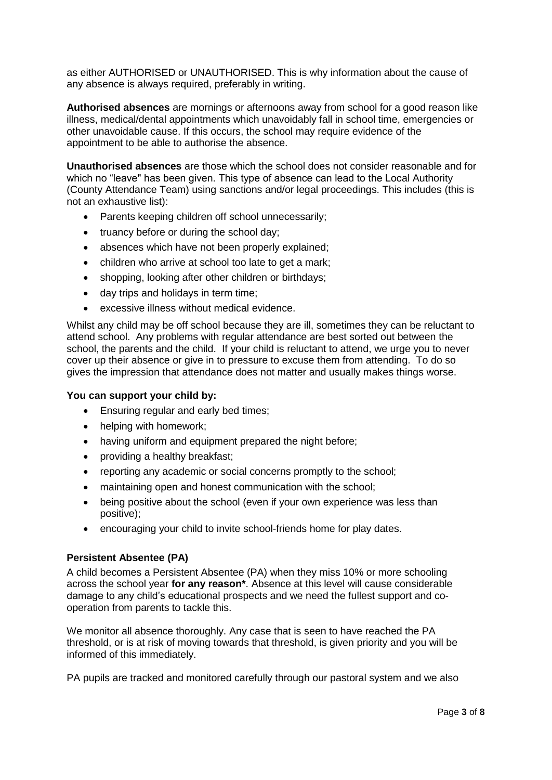as either AUTHORISED or UNAUTHORISED. This is why information about the cause of any absence is always required, preferably in writing.

**Authorised absences** are mornings or afternoons away from school for a good reason like illness, medical/dental appointments which unavoidably fall in school time, emergencies or other unavoidable cause. If this occurs, the school may require evidence of the appointment to be able to authorise the absence.

**Unauthorised absences** are those which the school does not consider reasonable and for which no "leave" has been given. This type of absence can lead to the Local Authority (County Attendance Team) using sanctions and/or legal proceedings. This includes (this is not an exhaustive list):

- Parents keeping children off school unnecessarily;
- truancy before or during the school day;
- absences which have not been properly explained;
- children who arrive at school too late to get a mark;
- shopping, looking after other children or birthdays;
- day trips and holidays in term time;
- excessive illness without medical evidence.

Whilst any child may be off school because they are ill, sometimes they can be reluctant to attend school. Any problems with regular attendance are best sorted out between the school, the parents and the child. If your child is reluctant to attend, we urge you to never cover up their absence or give in to pressure to excuse them from attending. To do so gives the impression that attendance does not matter and usually makes things worse.

# **You can support your child by:**

- Ensuring regular and early bed times;
- helping with homework;
- having uniform and equipment prepared the night before;
- providing a healthy breakfast;
- reporting any academic or social concerns promptly to the school;
- maintaining open and honest communication with the school;
- being positive about the school (even if your own experience was less than positive);
- encouraging your child to invite school-friends home for play dates.

# **Persistent Absentee (PA)**

A child becomes a Persistent Absentee (PA) when they miss 10% or more schooling across the school year **for any reason\***. Absence at this level will cause considerable damage to any child's educational prospects and we need the fullest support and cooperation from parents to tackle this.

We monitor all absence thoroughly. Any case that is seen to have reached the PA threshold, or is at risk of moving towards that threshold, is given priority and you will be informed of this immediately.

PA pupils are tracked and monitored carefully through our pastoral system and we also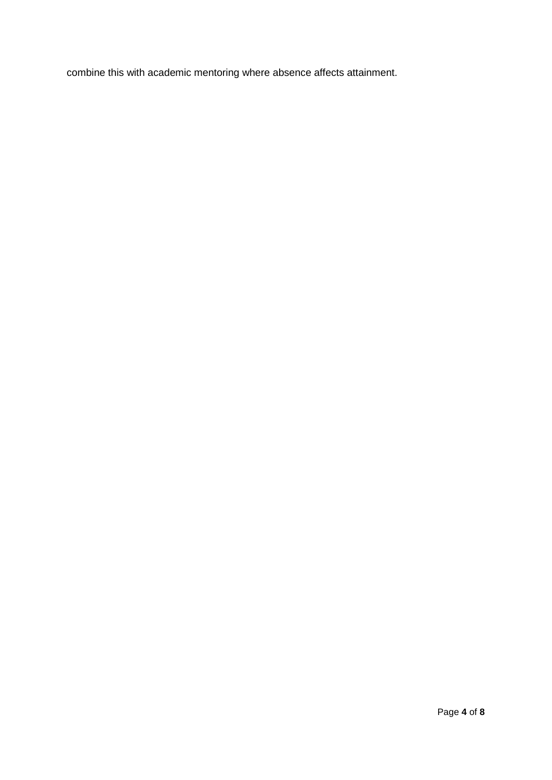combine this with academic mentoring where absence affects attainment.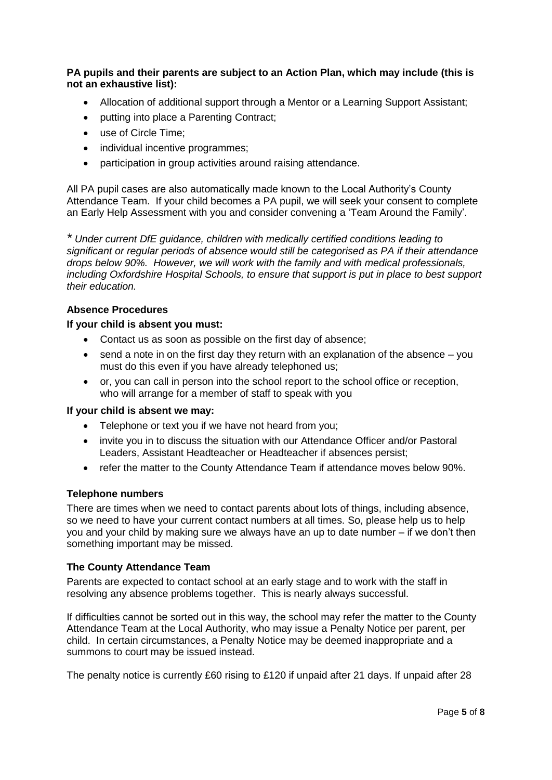**PA pupils and their parents are subject to an Action Plan, which may include (this is not an exhaustive list):**

- Allocation of additional support through a Mentor or a Learning Support Assistant;
- putting into place a Parenting Contract:
- use of Circle Time;
- individual incentive programmes;
- participation in group activities around raising attendance.

All PA pupil cases are also automatically made known to the Local Authority's County Attendance Team. If your child becomes a PA pupil, we will seek your consent to complete an Early Help Assessment with you and consider convening a 'Team Around the Family'.

*\* Under current DfE guidance, children with medically certified conditions leading to significant or regular periods of absence would still be categorised as PA if their attendance drops below 90%. However, we will work with the family and with medical professionals, including Oxfordshire Hospital Schools, to ensure that support is put in place to best support their education.*

## **Absence Procedures**

#### **If your child is absent you must:**

- Contact us as soon as possible on the first day of absence;
- $\bullet$  send a note in on the first day they return with an explanation of the absence  $-$  you must do this even if you have already telephoned us;
- or, you can call in person into the school report to the school office or reception, who will arrange for a member of staff to speak with you

#### **If your child is absent we may:**

- Telephone or text you if we have not heard from you;
- invite you in to discuss the situation with our Attendance Officer and/or Pastoral Leaders, Assistant Headteacher or Headteacher if absences persist;
- refer the matter to the County Attendance Team if attendance moves below 90%.

# **Telephone numbers**

There are times when we need to contact parents about lots of things, including absence, so we need to have your current contact numbers at all times. So, please help us to help you and your child by making sure we always have an up to date number – if we don't then something important may be missed.

#### **The County Attendance Team**

Parents are expected to contact school at an early stage and to work with the staff in resolving any absence problems together. This is nearly always successful.

If difficulties cannot be sorted out in this way, the school may refer the matter to the County Attendance Team at the Local Authority, who may issue a Penalty Notice per parent, per child. In certain circumstances, a Penalty Notice may be deemed inappropriate and a summons to court may be issued instead.

The penalty notice is currently £60 rising to £120 if unpaid after 21 days. If unpaid after 28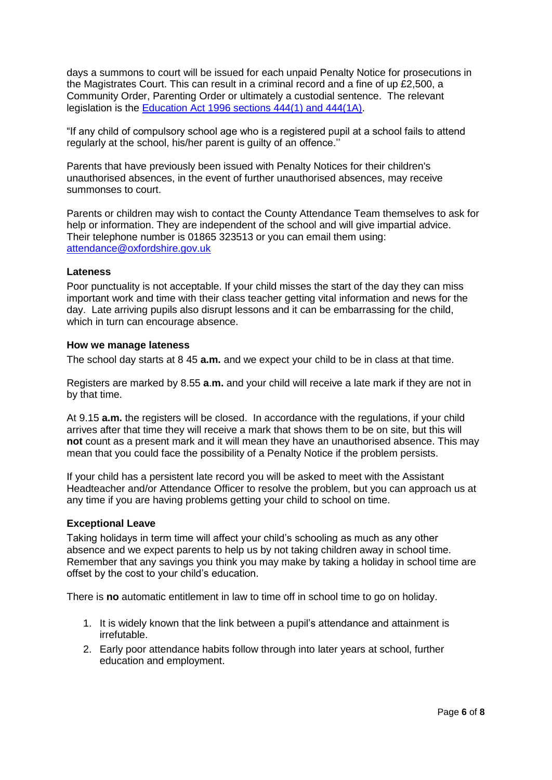days a summons to court will be issued for each unpaid Penalty Notice for prosecutions in the Magistrates Court. This can result in a criminal record and a fine of up £2,500, a Community Order, Parenting Order or ultimately a custodial sentence. The relevant legislation is the [Education Act 1996 sections 444\(1\) and 444\(1A\).](http://www.legislation.gov.uk/ukpga/1996/56/section/444)

"If any child of compulsory school age who is a registered pupil at a school fails to attend regularly at the school, his/her parent is guilty of an offence.''

Parents that have previously been issued with Penalty Notices for their children's unauthorised absences, in the event of further unauthorised absences, may receive summonses to court.

Parents or children may wish to contact the County Attendance Team themselves to ask for help or information. They are independent of the school and will give impartial advice. Their telephone number is 01865 323513 or you can email them using: [attendance@oxfordshire.gov.uk](mailto:attendance@oxfordshire.gov.uk)

#### **Lateness**

Poor punctuality is not acceptable. If your child misses the start of the day they can miss important work and time with their class teacher getting vital information and news for the day. Late arriving pupils also disrupt lessons and it can be embarrassing for the child, which in turn can encourage absence.

#### **How we manage lateness**

The school day starts at 8 45 **a.m.** and we expect your child to be in class at that time.

Registers are marked by 8.55 **a**.**m.** and your child will receive a late mark if they are not in by that time.

At 9.15 **a.m.** the registers will be closed. In accordance with the regulations, if your child arrives after that time they will receive a mark that shows them to be on site, but this will **not** count as a present mark and it will mean they have an unauthorised absence. This may mean that you could face the possibility of a Penalty Notice if the problem persists.

If your child has a persistent late record you will be asked to meet with the Assistant Headteacher and/or Attendance Officer to resolve the problem, but you can approach us at any time if you are having problems getting your child to school on time.

#### **Exceptional Leave**

Taking holidays in term time will affect your child's schooling as much as any other absence and we expect parents to help us by not taking children away in school time. Remember that any savings you think you may make by taking a holiday in school time are offset by the cost to your child's education.

There is **no** automatic entitlement in law to time off in school time to go on holiday.

- 1. It is widely known that the link between a pupil's attendance and attainment is irrefutable.
- 2. Early poor attendance habits follow through into later years at school, further education and employment.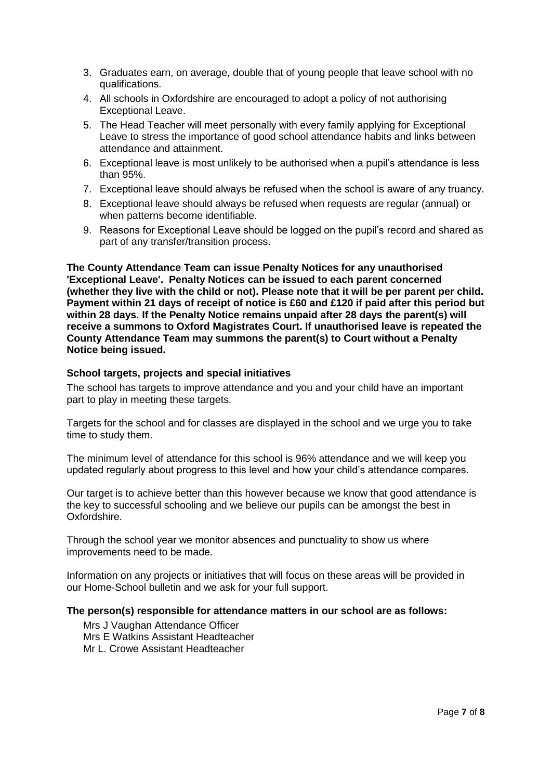- 3. Graduates earn, on average, double that of young people that leave school with no qualifications.
- 4. All schools in Oxfordshire are encouraged to adopt a policy of not authorising Exceptional Leave.
- 5. The Head Teacher will meet personally with every family applying for Exceptional Leave to stress the importance of good school attendance habits and links between attendance and attainment.
- 6. Exceptional leave is most unlikely to be authorised when a pupil's attendance is less than 95%.
- 7. Exceptional leave should always be refused when the school is aware of any truancy.
- 8. Exceptional leave should always be refused when requests are regular (annual) or when patterns become identifiable.
- 9. Reasons for Exceptional Leave should be logged on the pupil's record and shared as part of any transfer/transition process.

**The County Attendance Team can issue Penalty Notices for any unauthorised 'Exceptional Leave'. Penalty Notices can be issued to each parent concerned (whether they live with the child or not). Please note that it will be per parent per child. Payment within 21 days of receipt of notice is £60 and £120 if paid after this period but within 28 days. If the Penalty Notice remains unpaid after 28 days the parent(s) will receive a summons to Oxford Magistrates Court. If unauthorised leave is repeated the County Attendance Team may summons the parent(s) to Court without a Penalty Notice being issued.**

#### **School targets, projects and special initiatives**

The school has targets to improve attendance and you and your child have an important part to play in meeting these targets.

Targets for the school and for classes are displayed in the school and we urge you to take time to study them.

The minimum level of attendance for this school is 96% attendance and we will keep you updated regularly about progress to this level and how your child's attendance compares.

Our target is to achieve better than this however because we know that good attendance is the key to successful schooling and we believe our pupils can be amongst the best in Oxfordshire.

Through the school year we monitor absences and punctuality to show us where improvements need to be made.

Information on any projects or initiatives that will focus on these areas will be provided in our Home-School bulletin and we ask for your full support.

#### **The person(s) responsible for attendance matters in our school are as follows:**

Mrs J Vaughan Attendance Officer Mrs E Watkins Assistant Headteacher Mr L. Crowe Assistant Headteacher